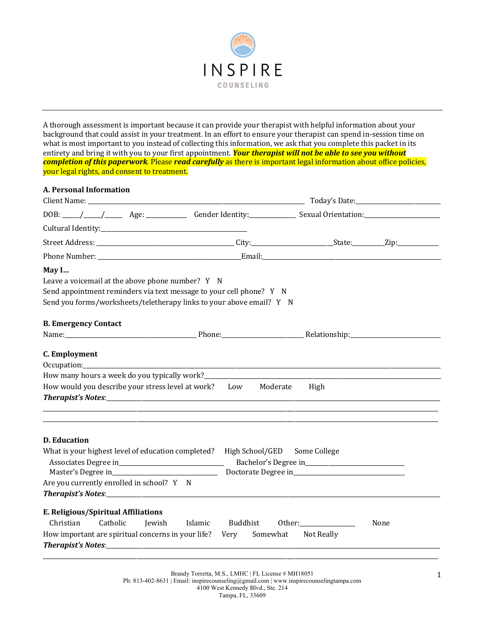

A thorough assessment is important because it can provide your therapist with helpful information about your background that could assist in your treatment. In an effort to ensure your therapist can spend in-session time on what is most important to you instead of collecting this information, we ask that you complete this packet in its entirety and bring it with you to your first appointment. **Your therapist will not be able to see you without** *completion of this paperwork.* Please *read carefully* as there is important legal information about office policies, your legal rights, and consent to treatment.

| <b>A. Personal Information</b>                                                                                                                                                                           |          |                      |      |
|----------------------------------------------------------------------------------------------------------------------------------------------------------------------------------------------------------|----------|----------------------|------|
|                                                                                                                                                                                                          |          |                      |      |
|                                                                                                                                                                                                          |          |                      |      |
|                                                                                                                                                                                                          |          |                      |      |
|                                                                                                                                                                                                          |          |                      |      |
|                                                                                                                                                                                                          |          |                      |      |
| May I<br>Leave a voicemail at the above phone number? Y N<br>Send appointment reminders via text message to your cell phone? Y N<br>Send you forms/worksheets/teletherapy links to your above email? Y N |          |                      |      |
| <b>B. Emergency Contact</b>                                                                                                                                                                              |          |                      |      |
|                                                                                                                                                                                                          |          |                      |      |
| C. Employment                                                                                                                                                                                            |          |                      |      |
|                                                                                                                                                                                                          |          |                      |      |
| How would you describe your stress level at work? Low Moderate High                                                                                                                                      |          |                      |      |
| <b>D.</b> Education<br>What is your highest level of education completed? High School/GED<br>Are you currently enrolled in school? Y N                                                                   |          | Some College         |      |
|                                                                                                                                                                                                          |          |                      |      |
| E. Religious/Spiritual Affiliations<br>Catholic<br>Christian<br>Jewish<br>Islamic<br>How important are spiritual concerns in your life? Very Somewhat                                                    | Buddhist | Other:<br>Not Really | None |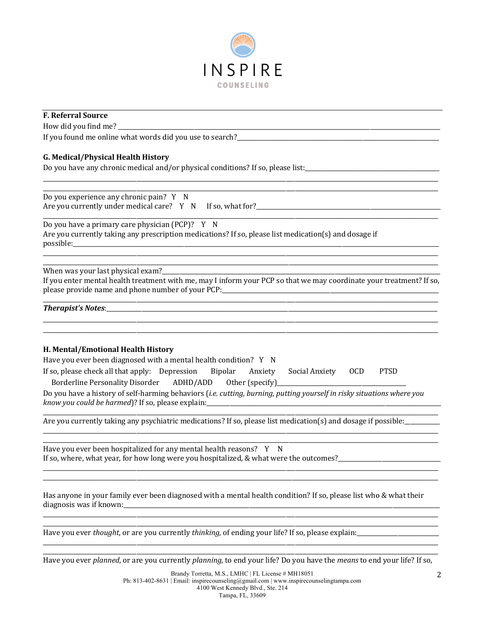

## **F. Referral Source**

How did you find me?

If you found me online what words did you use to search?\_\_\_\_

## G. Medical/Physical Health History

Do you have any chronic medical and/or physical conditions? If so, please list:

Do you experience any chronic pain? Y N Are you currently under medical care? Y N If so, what for?\_\_\_\_\_\_\_\_\_\_\_\_\_\_\_\_\_\_\_\_\_\_

Do you have a primary care physician (PCP)? Y N Are you currently taking any prescription medications? If so, please list medication(s) and dosage if possible:

When was your last physical exam?\_

If you enter mental health treatment with me, may I inform your PCP so that we may coordinate your treatment? If so, please provide name and phone number of your PCP:\_\_\_\_\_\_\_\_\_\_\_\_\_\_\_\_\_\_\_\_\_\_\_\_\_\_\_\_\_\_\_

### 

## H. Mental/Emotional Health History

Have you ever been diagnosed with a mental health condition? Y N

| If so, please check all that apply: Depression Bipolar Anxiety Social Anxiety OCD PTSD |  |  |  |
|----------------------------------------------------------------------------------------|--|--|--|
| Borderline Personality Disorder ADHD/ADD Other (specify)                               |  |  |  |

Do you have a history of self-harming behaviors (i.e. cutting, burning, putting yourself in risky situations where you know you could be harmed)? If so, please explain:

Are you currently taking any psychiatric medications? If so, please list medication(s) and dosage if possible: \_\_\_\_\_

Have you ever been hospitalized for any mental health reasons? Y N If so, where, what year, for how long were you hospitalized, & what were the outcomes?

Has anyone in your family ever been diagnosed with a mental health condition? If so, please list who & what their 

Have you ever *thought*, or are you currently *thinking*, of ending your life? If so, please explain:

Have you ever planned, or are you currently planning, to end your life? Do you have the means to end your life? If so,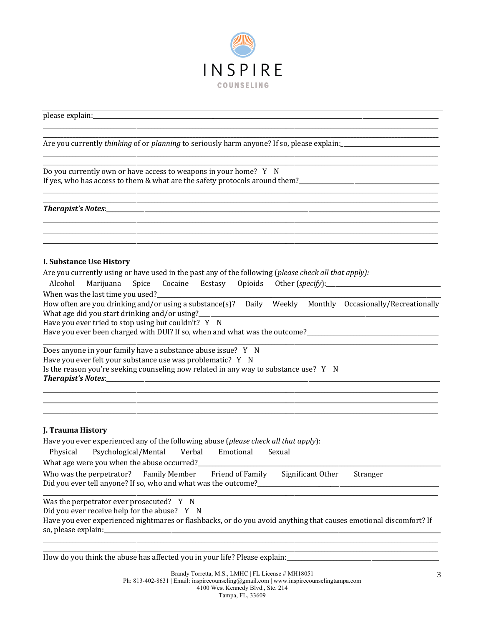

please explain:

Do you currently own or have access to weapons in your home? Y N If yes, who has access to them & what are the safety protocols around them?\_\_\_\_\_\_\_\_\_\_\_\_\_\_\_\_\_\_\_\_\_\_\_\_\_\_\_\_\_\_\_\_\_\_\_

### **I. Substance Use History**

Are you currently using or have used in the past any of the following (please check all that apply):

Alcohol Marijuana Spice Cocaine Ecstasy Opioids Other (specify): \_\_\_\_\_\_\_\_\_\_\_\_\_\_\_\_\_\_\_\_\_\_\_\_\_\_\_\_\_\_\_\_\_\_\_

When was the last time you used?

How often are you drinking and/or using a substance(s)? Daily Weekly Monthly Occasionally/Recreationally What age did you start drinking and/or using?

Have you ever tried to stop using but couldn't? Y N

Have you ever been charged with DUI? If so, when and what was the outcome?

| Does anyone in your family have a substance abuse issue? Y N                                  |  |
|-----------------------------------------------------------------------------------------------|--|
| Have you ever felt your substance use was problematic? Y N                                    |  |
| Is the reason you're seeking counseling now related in any way to substance use? $Y \times N$ |  |
| <b>Therapist's Notes:</b>                                                                     |  |

### J. Trauma History

| Have you ever experienced any of the following abuse (please check all that apply):                                                                        |                                                                                                   |  |           |        |  |  |
|------------------------------------------------------------------------------------------------------------------------------------------------------------|---------------------------------------------------------------------------------------------------|--|-----------|--------|--|--|
| Physical                                                                                                                                                   | Psychological/Mental Verbal                                                                       |  | Emotional | Sexual |  |  |
| What age were you when the abuse occurred?                                                                                                                 |                                                                                                   |  |           |        |  |  |
| Who was the perpetrator? Family Member Friend of Family<br>Significant Other<br>Stranger<br>Did you ever tell anyone? If so, who and what was the outcome? |                                                                                                   |  |           |        |  |  |
|                                                                                                                                                            | Was the perpetrator ever prosecuted? $Y \times N$<br>Did you ever receive help for the abuse? Y N |  |           |        |  |  |

Have you ever experienced nightmares or flashbacks, or do you avoid anything that causes emotional discomfort? If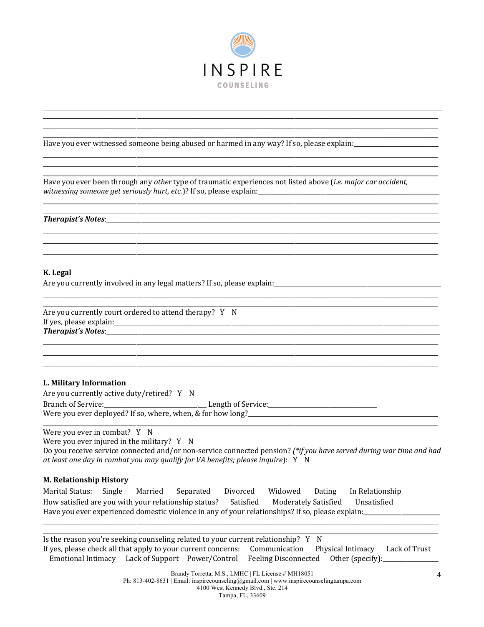

Have you ever witnessed someone being abused or harmed in any way? If so, please explain: \_\_\_\_\_\_\_\_\_\_\_\_\_\_\_\_\_\_\_\_

Have you ever been through any other type of traumatic experiences not listed above (i.e. major car accident, witnessing someone get seriously hurt, etc.)? If so, please explain:\_\_\_\_\_\_\_\_\_\_\_\_

#### Therapist's Notes:\_\_\_\_\_\_\_\_\_\_

### K. Legal

Are you currently involved in any legal matters? If so, please explain:

Are you currently court ordered to attend therapy? Y N 

## L. Military Information

Are you currently active duty/retired? Y N

Were you ever deployed? If so, where, when, & for how long?

Were you ever in combat? Y N

Were you ever injured in the military?  $Y \times N$ 

Do you receive service connected and/or non-service connected pension? (\*if you have served during war time and had at least one day in combat you may qualify for VA benefits; please inquire): Y N

### **M. Relationship History**

Marital Status: Single Married Separated Divorced Widowed Dating In Relationship How satisfied are you with your relationship status? Satisfied Moderately Satisfied Unsatisfied Have you ever experienced domestic violence in any of your relationships? If so, please explain:

Is the reason you're seeking counseling related to your current relationship? Y N If yes, please check all that apply to your current concerns: Communication Physical Intimacy Lack of Trust Emotional Intimacy Lack of Support Power/Control Feeling Disconnected Other (specify):

> Brandy Torretta, M.S., LMHC | FL License # MH18051 Ph: 813-402-8631 | Email: inspirecounseling@gmail.com | www.inspirecounselingtampa.com 4100 West Kennedy Blvd., Ste. 214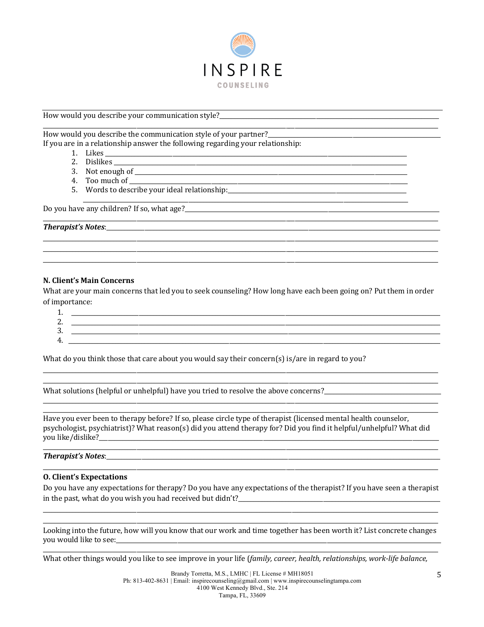

### How would you describe your communication style?

How would you describe the communication style of your partner?\_\_\_ If you are in a relationship answer the following regarding your relationship:

- 1. Likes
	- 2. Dislikes and the same state of the state of the state of the state of the state of the state of the state of the state of the state of the state of the state of the state of the state of the state of the state of the st
	- 3. Not enough of
	- 4. Too much of \_\_\_
	- 5. Words to describe your ideal relationship:

Do you have any children? If so, what age?<br>

### N. Client's Main Concerns

What are your main concerns that led you to seek counseling? How long have each been going on? Put them in order of importance:

| .             |  |
|---------------|--|
| ◠<br><u>.</u> |  |
| ⌒<br>ູ        |  |
| 4             |  |

What do you think those that care about you would say their concern(s) is/are in regard to you?

Have you ever been to therapy before? If so, please circle type of therapist (licensed mental health counselor, psychologist, psychiatrist)? What reason(s) did you attend therapy for? Did you find it helpful/unhelpful? What did 

### **Therapist's Notes:** The contract of the contract of the contract of the contract of the contract of the contract of the contract of the contract of the contract of the contract of the contract of the contract of the contr

### **O. Client's Expectations**

Do you have any expectations for therapy? Do you have any expectations of the therapist? If you have seen a therapist in the past, what do you wish you had received but didn't?

Looking into the future, how will you know that our work and time together has been worth it? List concrete changes you would like to see: \\essering \\essering \\essering \\essering \\essering \\essering \\essering \\essering \\essering \\essering \\essering \\essering \\essering \\essering \\essering \\essering \\essering \\essering \

What other things would you like to see improve in your life (family, career, health, relationships, work-life balance,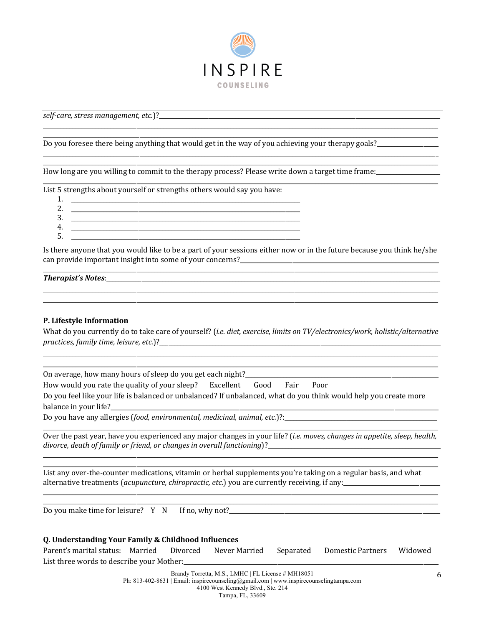

self-care, stress management, etc.)?

Do you foresee there being anything that would get in the way of you achieving your therapy goals?\_\_\_\_\_\_\_\_\_\_\_\_

How long are you willing to commit to the therapy process? Please write down a target time frame:

List 5 strengths about yourself or strengths others would say you have:

 $1$ 2. <u> 1980 - Johann Barn, fransk politik fotograf (d. 1980)</u>  $3.$ 4. <u> 1989 - Johann John Stein, mars an deutscher Stein († 1958)</u> 5.

Is there anyone that you would like to be a part of your sessions either now or in the future because you think he/she 

### **Therapist's Notes:** The contract of the contract of the contract of the contract of the contract of the contract of the contract of the contract of the contract of the contract of the contract of the contract of the contr

## P. Lifestyle Information

What do you currently do to take care of yourself? (i.e. diet, exercise, limits on TV/electronics/work, holistic/alternative 

On average, how many hours of sleep do you get each night?\_\_ How would you rate the quality of your sleep? Excellent Good Fair Poor Do you feel like your life is balanced or unbalanced? If unbalanced, what do you think would help you create more balance in your life? 

Over the past year, have you experienced any major changes in your life? (i.e. moves, changes in appetite, sleep, health, divorce, death of family or friend, or changes in overall functioning)?\_\_\_\_\_\_\_\_\_\_\_\_\_\_\_\_\_\_\_\_\_\_\_\_\_\_\_\_\_

List any over-the-counter medications, vitamin or herbal supplements you're taking on a regular basis, and what alternative treatments (*acupuncture, chiropractic, etc.*) you are currently receiving, if any:

Do you make time for leisure?  $Y \cap N$  If no, why not?

## Q. Understanding Your Family & Childhood Influences

Parent's marital status: Married Divorced Never Married Domestic Partners Separated Widowed List three words to describe your Mother:

> Brandy Torretta, M.S., LMHC | FL License # MH18051 Ph: 813-402-8631 | Email: inspirecounseling@gmail.com | www.inspirecounselingtampa.com 4100 West Kennedy Blvd., Ste. 214

Tampa, FL, 33609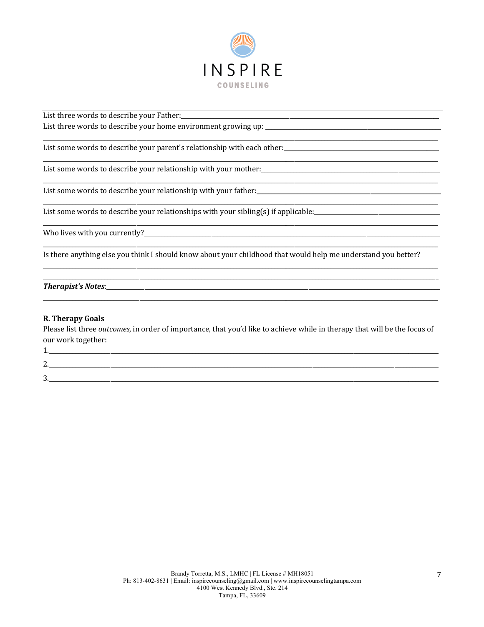

List three words to describe your Father: 

List some words to describe your parent's relationship with each other:

List some words to describe your relationship with your mother:

List some words to describe your relationship with your father:<br>
expansion of the contract of the contract of the contract of the contract of the contract of the contract of the contract of the contract of the contract of

List some words to describe your relationships with your sibling(s) if applicable: \_\_\_\_\_\_\_\_\_\_\_\_\_\_\_\_\_\_\_\_\_\_\_\_\_\_\_

Is there anything else you think I should know about your childhood that would help me understand you better?

### 

## **R. Therapy Goals**

Please list three outcomes, in order of importance, that you'd like to achieve while in therapy that will be the focus of our work together:

 $2.$  $3.$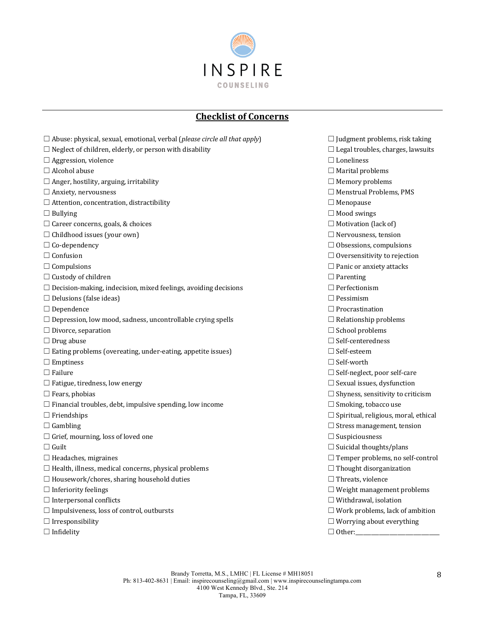

# **Checklist of Concerns**

| $\Box$ Abuse: physical, sexual, emotional, verbal (please circle all that apply) | $\Box$ Judgment problems, risk taking       |
|----------------------------------------------------------------------------------|---------------------------------------------|
| $\Box$ Neglect of children, elderly, or person with disability                   | $\Box$ Legal troubles, charges, lawsuits    |
| $\Box$ Aggression, violence                                                      | $\Box$ Loneliness                           |
| $\Box$ Alcohol abuse                                                             | $\Box$ Marital problems                     |
| $\Box$ Anger, hostility, arguing, irritability                                   | $\Box$ Memory problems                      |
| $\Box$ Anxiety, nervousness                                                      | $\Box$ Menstrual Problems, PMS              |
| $\Box$ Attention, concentration, distractibility                                 | $\Box$ Menopause                            |
| $\Box$ Bullying                                                                  | $\Box$ Mood swings                          |
| $\Box$ Career concerns, goals, & choices                                         | $\Box$ Motivation (lack of)                 |
| $\Box$ Childhood issues (your own)                                               | $\Box$ Nervousness, tension                 |
| $\Box$ Co-dependency                                                             | $\Box$ Obsessions, compulsions              |
| $\Box$ Confusion                                                                 | $\Box$ Oversensitivity to rejection         |
| $\Box$ Compulsions                                                               | $\Box$ Panic or anxiety attacks             |
| $\Box$ Custody of children                                                       | $\Box$ Parenting                            |
| $\Box$ Decision-making, indecision, mixed feelings, avoiding decisions           | $\Box$ Perfectionism                        |
| $\Box$ Delusions (false ideas)                                                   | $\Box$ Pessimism                            |
| $\Box$ Dependence                                                                | $\Box$ Procrastination                      |
| $\Box$ Depression, low mood, sadness, uncontrollable crying spells               | $\Box$ Relationship problems                |
| $\Box$ Divorce, separation                                                       | $\Box$ School problems                      |
| $\Box$ Drug abuse                                                                | $\Box$ Self-centeredness                    |
| $\Box$ Eating problems (overeating, under-eating, appetite issues)               | $\Box$ Self-esteem                          |
| $\Box$ Emptiness                                                                 | $\Box$ Self-worth                           |
| $\Box$ Failure                                                                   | □ Self-neglect, poor self-care              |
| $\Box$ Fatigue, tiredness, low energy                                            | $\Box$ Sexual issues, dysfunction           |
| $\Box$ Fears, phobias                                                            | $\Box$ Shyness, sensitivity to criticism    |
| $\Box$ Financial troubles, debt, impulsive spending, low income                  | $\Box$ Smoking, tobacco use                 |
| $\Box$ Friendships                                                               | $\Box$ Spiritual, religious, moral, ethical |
| $\Box$ Gambling                                                                  | $\Box$ Stress management, tension           |
| $\Box$ Grief, mourning, loss of loved one                                        | $\Box$ Suspiciousness                       |
| $\Box$ Guilt                                                                     | $\Box$ Suicidal thoughts/plans              |
| $\Box$ Headaches, migraines                                                      | $\Box$ Temper problems, no self-control     |
| $\Box$ Health, illness, medical concerns, physical problems                      | $\Box$ Thought disorganization              |
| $\Box$ Housework/chores, sharing household duties                                | $\Box$ Threats, violence                    |
| $\Box$ Inferiority feelings                                                      | $\Box$ Weight management problems           |
| $\Box$ Interpersonal conflicts                                                   | $\Box$ Withdrawal, isolation                |
| $\Box$ Impulsiveness, loss of control, outbursts                                 | $\Box$ Work problems, lack of ambition      |
| $\Box$ Irresponsibility                                                          | $\Box$ Worrying about everything            |
| $\Box$ Infidelity                                                                |                                             |
|                                                                                  |                                             |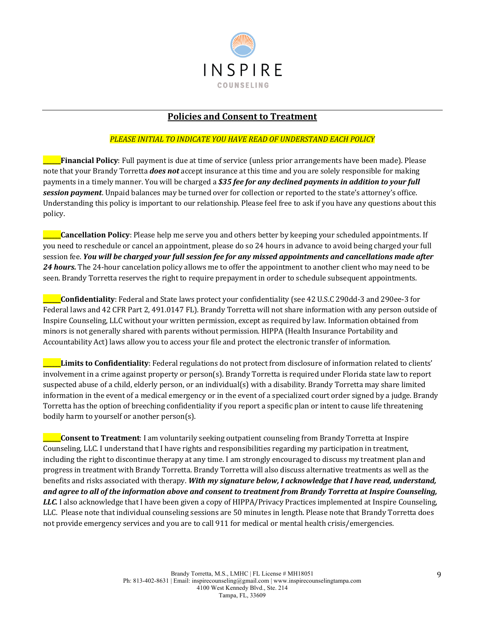

# **Policies and Consent to Treatment**

# PLEASE INITIAL TO INDICATE YOU HAVE READ OF UNDERSTAND EACH POLICY

**\_\_\_\_\_Financial Policy**: Full payment is due at time of service (unless prior arrangements have been made). Please note that your Brandy Torretta *does not* accept insurance at this time and you are solely responsible for making payments in a timely manner. You will be charged a \$35 *fee for any declined payments in addition to your full* **session payment**. Unpaid balances may be turned over for collection or reported to the state's attorney's office. Understanding this policy is important to our relationship. Please feel free to ask if you have any questions about this policy. 

**\_\_\_\_\_Cancellation Policy**: Please help me serve you and others better by keeping your scheduled appointments. If you need to reschedule or cancel an appointment, please do so 24 hours in advance to avoid being charged your full session fee. *You will be charged your full session fee for any missed appointments and cancellations made after* **24 hours.** The 24-hour cancelation policy allows me to offer the appointment to another client who may need to be seen. Brandy Torretta reserves the right to require prepayment in order to schedule subsequent appointments.

**Confidentiality**: Federal and State laws protect your confidentiality (see 42 U.S.C 290dd-3 and 290ee-3 for Federal laws and 42 CFR Part 2, 491.0147 FL). Brandy Torretta will not share information with any person outside of Inspire Counseling, LLC without your written permission, except as required by law. Information obtained from minors is not generally shared with parents without permission. HIPPA (Health Insurance Portability and Accountability Act) laws allow you to access your file and protect the electronic transfer of information.

**Limits to Confidentiality**: Federal regulations do not protect from disclosure of information related to clients' involvement in a crime against property or person(s). Brandy Torretta is required under Florida state law to report suspected abuse of a child, elderly person, or an individual(s) with a disability. Brandy Torretta may share limited information in the event of a medical emergency or in the event of a specialized court order signed by a judge. Brandy Torretta has the option of breeching confidentiality if you report a specific plan or intent to cause life threatening bodily harm to yourself or another person(s).

**Consent to Treatment**: I am voluntarily seeking outpatient counseling from Brandy Torretta at Inspire Counseling, LLC. I understand that I have rights and responsibilities regarding my participation in treatment, including the right to discontinue therapy at any time. I am strongly encouraged to discuss my treatment plan and progress in treatment with Brandy Torretta. Brandy Torretta will also discuss alternative treatments as well as the benefits and risks associated with therapy. With my signature below, I acknowledge that I have read, understand, and agree to all of the information above and consent to treatment from Brandy Torretta at Inspire Counseling, LLC. I also acknowledge that I have been given a copy of HIPPA/Privacy Practices implemented at Inspire Counseling, LLC. Please note that individual counseling sessions are 50 minutes in length. Please note that Brandy Torretta does not provide emergency services and you are to call 911 for medical or mental health crisis/emergencies.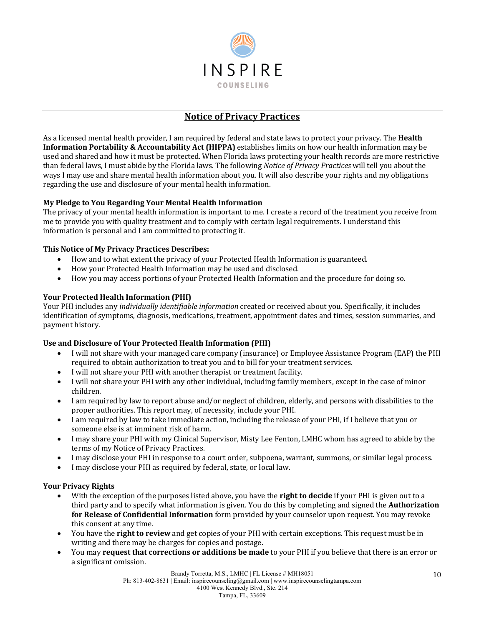

# **Notice of Privacy Practices**

As a licensed mental health provider, I am required by federal and state laws to protect your privacy. The **Health Information Portability & Accountability Act (HIPPA)** establishes limits on how our health information may be used and shared and how it must be protected. When Florida laws protecting your health records are more restrictive than federal laws, I must abide by the Florida laws. The following *Notice of Privacy Practices* will tell you about the ways I may use and share mental health information about you. It will also describe your rights and my obligations regarding the use and disclosure of your mental health information.

# **My Pledge to You Regarding Your Mental Health Information**

The privacy of your mental health information is important to me. I create a record of the treatment you receive from me to provide you with quality treatment and to comply with certain legal requirements. I understand this information is personal and I am committed to protecting it.

# **This Notice of My Privacy Practices Describes:**

- How and to what extent the privacy of your Protected Health Information is guaranteed.
- How your Protected Health Information may be used and disclosed.
- How you may access portions of your Protected Health Information and the procedure for doing so.

## **Your Protected Health Information (PHI)**

Your PHI includes any *individually identifiable information* created or received about you. Specifically, it includes identification of symptoms, diagnosis, medications, treatment, appointment dates and times, session summaries, and payment history.

# Use and Disclosure of Your Protected Health Information (PHI)

- I will not share with your managed care company (insurance) or Employee Assistance Program (EAP) the PHI required to obtain authorization to treat you and to bill for your treatment services.
- I will not share your PHI with another therapist or treatment facility.
- I will not share your PHI with any other individual, including family members, except in the case of minor children.
- I am required by law to report abuse and/or neglect of children, elderly, and persons with disabilities to the proper authorities. This report may, of necessity, include your PHI.
- I am required by law to take immediate action, including the release of your PHI, if I believe that you or someone else is at imminent risk of harm.
- I may share your PHI with my Clinical Supervisor, Misty Lee Fenton, LMHC whom has agreed to abide by the terms of my Notice of Privacy Practices.
- I may disclose your PHI in response to a court order, subpoena, warrant, summons, or similar legal process.
- I may disclose your PHI as required by federal, state, or local law.

# **Your Privacy Rights**

- With the exception of the purposes listed above, you have the **right to decide** if your PHI is given out to a third party and to specify what information is given. You do this by completing and signed the Authorization for Release of Confidential Information form provided by your counselor upon request. You may revoke this consent at any time.
- You have the **right to review** and get copies of your PHI with certain exceptions. This request must be in writing and there may be charges for copies and postage.
- You may **request that corrections or additions be made** to your PHI if you believe that there is an error or a significant omission.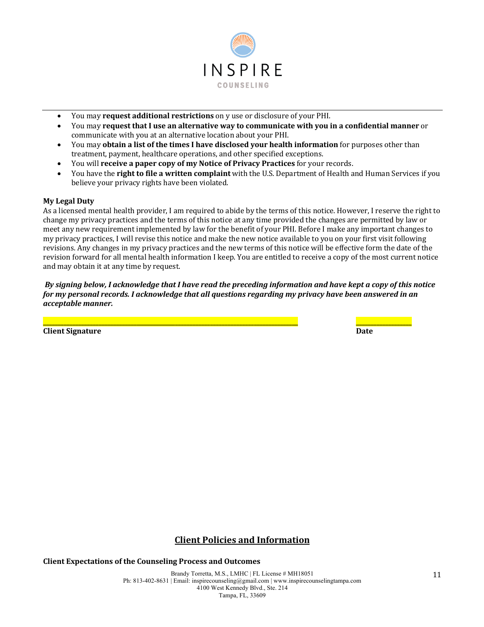

- You may **request additional restrictions** on y use or disclosure of your PHI.
- You may **request that I use an alternative way to communicate with you in a confidential manner** or communicate with you at an alternative location about your PHI.
- You may **obtain a list of the times I have disclosed your health information** for purposes other than treatment, payment, healthcare operations, and other specified exceptions.
- You will **receive a paper copy of my Notice of Privacy Practices** for your records.
- You have the **right to file a written complaint** with the U.S. Department of Health and Human Services if you believe your privacy rights have been violated.

## **My Legal Duty**

As a licensed mental health provider, I am required to abide by the terms of this notice. However, I reserve the right to change my privacy practices and the terms of this notice at any time provided the changes are permitted by law or meet any new requirement implemented by law for the benefit of your PHI. Before I make any important changes to my privacy practices, I will revise this notice and make the new notice available to you on your first visit following revisions. Any changes in my privacy practices and the new terms of this notice will be effective form the date of the revision forward for all mental health information I keep. You are entitled to receive a copy of the most current notice and may obtain it at any time by request.

*By* signing below, I acknowledge that I have read the preceding information and have kept a copy of this notice *for my personal records. I acknowledge that all questions regarding my privacy have been answered in an acceptable manner.*

**\_\_\_\_\_\_\_\_\_\_\_\_\_\_\_\_\_\_\_\_\_\_\_\_\_\_\_\_\_\_\_\_\_\_\_\_\_\_\_\_\_\_\_\_\_\_\_\_\_\_\_\_\_\_\_\_\_\_\_\_\_\_\_\_\_\_\_\_\_\_\_\_\_\_\_\_\_\_\_\_\_\_\_\_\_\_\_ \_\_\_\_\_\_\_\_\_\_\_\_\_\_\_\_\_\_\_**

**Client Signature Date** 

# **Client Policies and Information**

**Client Expectations of the Counseling Process and Outcomes** 

Brandy Torretta, M.S., LMHC | FL License # MH18051 Ph: 813-402-8631 | Email: inspirecounseling@gmail.com | www.inspirecounselingtampa.com 4100 West Kennedy Blvd., Ste. 214 Tampa, FL, 33609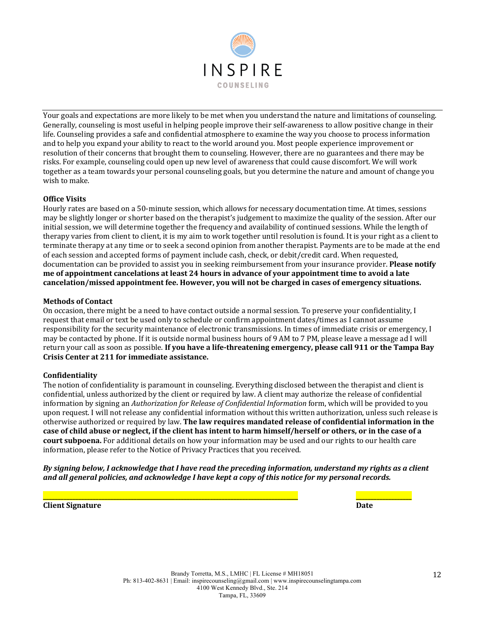

Your goals and expectations are more likely to be met when you understand the nature and limitations of counseling. Generally, counseling is most useful in helping people improve their self-awareness to allow positive change in their life. Counseling provides a safe and confidential atmosphere to examine the way you choose to process information and to help you expand your ability to react to the world around you. Most people experience improvement or resolution of their concerns that brought them to counseling. However, there are no guarantees and there may be risks. For example, counseling could open up new level of awareness that could cause discomfort. We will work together as a team towards your personal counseling goals, but you determine the nature and amount of change you wish to make.

## **Office Visits**

Hourly rates are based on a 50-minute session, which allows for necessary documentation time. At times, sessions may be slightly longer or shorter based on the therapist's judgement to maximize the quality of the session. After our initial session, we will determine together the frequency and availability of continued sessions. While the length of therapy varies from client to client, it is my aim to work together until resolution is found. It is vour right as a client to terminate therapy at any time or to seek a second opinion from another therapist. Payments are to be made at the end of each session and accepted forms of payment include cash, check, or debit/credit card. When requested, documentation can be provided to assist you in seeking reimbursement from your insurance provider. **Please notify me** of appointment cancelations at least 24 hours in advance of your appointment time to avoid a late cancelation/missed appointment fee. However, you will not be charged in cases of emergency situations.

### **Methods of Contact**

On occasion, there might be a need to have contact outside a normal session. To preserve your confidentiality, I request that email or text be used only to schedule or confirm appointment dates/times as I cannot assume responsibility for the security maintenance of electronic transmissions. In times of immediate crisis or emergency, I may be contacted by phone. If it is outside normal business hours of 9 AM to 7 PM, please leave a message ad I will return your call as soon as possible. If you have a life-threatening emergency, please call 911 or the Tampa Bay **Crisis Center at 211 for immediate assistance.** 

### **Confidentiality**

The notion of confidentiality is paramount in counseling. Everything disclosed between the therapist and client is confidential, unless authorized by the client or required by law. A client may authorize the release of confidential information by signing an *Authorization for Release of Confidential Information* form, which will be provided to you upon request. I will not release any confidential information without this written authorization, unless such release is otherwise authorized or required by law. The law requires mandated release of confidential information in the case of child abuse or neglect, if the client has intent to harm himself/herself or others, or in the case of a **court subpoena.** For additional details on how your information may be used and our rights to our health care information, please refer to the Notice of Privacy Practices that you received.

*By* signing below, I acknowledge that I have read the preceding information, understand my rights as a client and all general policies, and acknowledge I have kept a copy of this notice for my personal records.

**\_\_\_\_\_\_\_\_\_\_\_\_\_\_\_\_\_\_\_\_\_\_\_\_\_\_\_\_\_\_\_\_\_\_\_\_\_\_\_\_\_\_\_\_\_\_\_\_\_\_\_\_\_\_\_\_\_\_\_\_\_\_\_\_\_\_\_\_\_\_\_\_\_\_\_\_\_\_\_\_\_\_\_\_\_\_\_ \_\_\_\_\_\_\_\_\_\_\_\_\_\_\_\_\_\_\_**

**Client Signature Date**